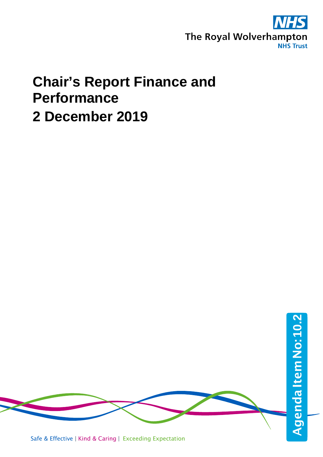

## **Chair's Report Finance and Performance 2 December 2019**

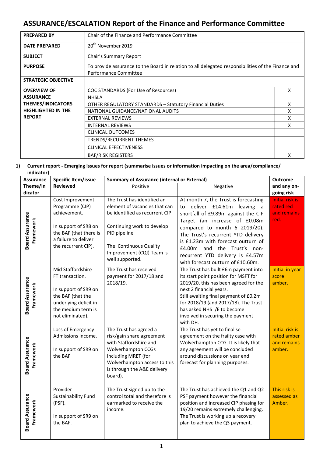## **ASSURANCE/ESCALATION Report of the Finance and Performance Committee**

| <b>PREPARED BY</b>         | Chair of the Finance and Performance Committee                                                                              |   |  |  |
|----------------------------|-----------------------------------------------------------------------------------------------------------------------------|---|--|--|
| <b>DATE PREPARED</b>       | 20 <sup>th</sup> November 2019                                                                                              |   |  |  |
| <b>SUBJECT</b>             | Chair's Summary Report                                                                                                      |   |  |  |
| <b>PURPOSE</b>             | To provide assurance to the Board in relation to all delegated responsibilities of the Finance and<br>Performance Committee |   |  |  |
| <b>STRATEGIC OBJECTIVE</b> |                                                                                                                             |   |  |  |
| <b>OVERVIEW OF</b>         | CQC STANDARDS (For Use of Resources)                                                                                        | X |  |  |
| <b>ASSURANCE</b>           | <b>NHSIA</b>                                                                                                                |   |  |  |
| <b>THEMES/INDICATORS</b>   | <b>OTHER REGULATORY STANDARDS - Statutory Financial Duties</b>                                                              | X |  |  |
| <b>HIGHLIGHTED IN THE</b>  | NATIONAL GUIDANCE/NATIONAL AUDITS                                                                                           | X |  |  |
| <b>REPORT</b>              | <b>EXTERNAL REVIEWS</b>                                                                                                     | x |  |  |
|                            | <b>INTERNAL REVIEWS</b>                                                                                                     | x |  |  |
|                            | <b>CLINICAL OUTCOMES</b>                                                                                                    |   |  |  |
|                            | TRENDS/RECURRENT THEMES                                                                                                     |   |  |  |
|                            | <b>CLINICAL EFFECTIVENESS</b>                                                                                               |   |  |  |
|                            | <b>BAF/RISK REGISTERS</b>                                                                                                   | x |  |  |

## **1) Current report - Emerging issues for report (summarise issues or information impacting on the area/compliance/ indicator)**

| <b>Assurance</b>                    | <b>Specific Item/issue</b>                                                                                                                           | <b>Summary of Assurance (internal or External)</b>                                                                                                                                                                     | <b>Outcome</b>                                                                                                                                                                                                                                                                                                                                                    |                                                                |
|-------------------------------------|------------------------------------------------------------------------------------------------------------------------------------------------------|------------------------------------------------------------------------------------------------------------------------------------------------------------------------------------------------------------------------|-------------------------------------------------------------------------------------------------------------------------------------------------------------------------------------------------------------------------------------------------------------------------------------------------------------------------------------------------------------------|----------------------------------------------------------------|
| Theme/In                            | <b>Reviewed</b>                                                                                                                                      | Positive                                                                                                                                                                                                               | Negative                                                                                                                                                                                                                                                                                                                                                          | and any on-                                                    |
| dicator                             |                                                                                                                                                      |                                                                                                                                                                                                                        |                                                                                                                                                                                                                                                                                                                                                                   | going risk                                                     |
| <b>Board Assurance</b><br>Framework | Cost Improvement<br>Programme (CIP)<br>achievement.<br>In support of SR8 on<br>the BAF (that there is<br>a failure to deliver<br>the recurrent CIP). | The Trust has identified an<br>element of vacancies that can<br>be identified as recurrent CIP<br>Continuing work to develop<br>PID pipeline<br>The Continuous Quality<br>Improvement (CQI) Team is<br>well supported. | At month 7, the Trust is forecasting<br>to deliver £14.61m leaving a<br>shortfall of £9.89m against the CIP<br>Target (an increase of £0.08m<br>compared to month 6 2019/20).<br>The Trust's recurrent YTD delivery<br>is £1.23m with forecast outturn of<br>£4.00m and the Trust's non-<br>recurrent YTD delivery is £4.57m<br>with forecast outturn of £10.60m. | <b>Initial risk is</b><br>rated red<br>and remains<br>red.     |
| <b>Board Assurance</b><br>Framework | Mid Staffordshire<br>FT transaction.<br>In support of SR9 on<br>the BAF (that the<br>underlying deficit in<br>the medium term is<br>not eliminated). | The Trust has received<br>payment for 2017/18 and<br>2018/19.                                                                                                                                                          | The Trust has built £6m payment into<br>its start point position for MSFT for<br>2019/20, this has been agreed for the<br>next 2 financial years.<br>Still awaiting final payment of £0.2m<br>for 2018/19 (and 2017/18). The Trust<br>has asked NHS I/E to become<br>involved in securing the payment<br>with DH.                                                 | Initial in year<br>score<br>amber.                             |
| <b>Board Assurance</b><br>Framework | Loss of Emergency<br>Admissions Income.<br>In support of SR9 on<br>the BAF                                                                           | The Trust has agreed a<br>risk/gain share agreement<br>with Staffordshire and<br><b>Wolverhampton CCGs</b><br>including MRET (for<br>Wolverhampton access to this<br>is through the A&E delivery<br>board).            | The Trust has yet to finalise<br>agreement on the frailty case with<br>Wolverhampton CCG. It is likely that<br>any agreement will be concluded<br>around discussions on year end<br>forecast for planning purposes.                                                                                                                                               | <b>Initial risk is</b><br>rated amber<br>and remains<br>amber. |
| <b>Board Assurance</b><br>Framework | Provider<br>Sustainability Fund<br>(PSF).<br>In support of SR9 on<br>the BAF.                                                                        | The Trust signed up to the<br>control total and therefore is<br>earmarked to receive the<br>income.                                                                                                                    | The Trust has achieved the Q1 and Q2<br>PSF payment however the financial<br>position and increased CIP phasing for<br>19/20 remains extremely challenging.<br>The Trust is working up a recovery<br>plan to achieve the Q3 payment.                                                                                                                              | This risk is<br>assessed as<br>Amber.                          |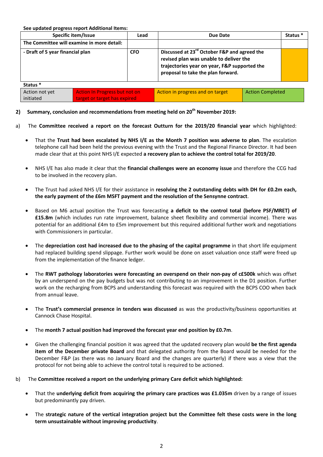**See updated progress report Additional Items:**

initiated

| Specific item/Issue                                    |  | Lead                             | Due Date                                                                                                                                                                                 |  | Status <sup>*</sup> |
|--------------------------------------------------------|--|----------------------------------|------------------------------------------------------------------------------------------------------------------------------------------------------------------------------------------|--|---------------------|
| The Committee will examine in more detail:             |  |                                  |                                                                                                                                                                                          |  |                     |
| - Draft of 5 year financial plan                       |  | <b>CFO</b>                       | Discussed at 23 <sup>rd</sup> October F&P and agreed the<br>revised plan was unable to deliver the<br>trajectories year on year, F&P supported the<br>proposal to take the plan forward. |  |                     |
| Status <sup>*</sup>                                    |  |                                  |                                                                                                                                                                                          |  |                     |
| Action not yet<br><b>Action In Progress but not on</b> |  | Action in progress and on target | <b>Action Completed</b>                                                                                                                                                                  |  |                     |

2) Summary, conclusion and recommendations from meeting held on 20<sup>th</sup> November 2019:

target or target has expired

- a) The **Committee received a report on the forecast Outturn for the 2019/20 financial year** which highlighted:
	- That the **Trust had been escalated by NHS I/E as the Month 7 position was adverse to plan**. The escalation telephone call had been held the previous evening with the Trust and the Regional Finance Director. It had been made clear that at this point NHS I/E expected **a recovery plan to achieve the control total for 2019/20**.
	- NHS I/E has also made it clear that the **financial challenges were an economy issue** and therefore the CCG had to be involved in the recovery plan.
	- The Trust had asked NHS I/E for their assistance in **resolving the 2 outstanding debts with DH for £0.2m each, the early payment of the £6m MSFT payment and the resolution of the Sensynne contract**.
	- Based on M6 actual position the Trust was forecasting **a deficit to the control total (before PSF/MRET) of £15.8m** (which includes run rate improvement, balance sheet flexibility and commercial income). There was potential for an additional £4m to £5m improvement but this required additional further work and negotiations with Commissioners in particular.
	- The **depreciation cost had increased due to the phasing of the capital programme** in that short life equipment had replaced building spend slippage. Further work would be done on asset valuation once staff were freed up from the implementation of the finance ledger.
	- The **RWT pathology laboratories were forecasting an overspend on their non-pay of c£500k** which was offset by an underspend on the pay budgets but was not contributing to an improvement in the D1 position. Further work on the recharging from BCPS and understanding this forecast was required with the BCPS COO when back from annual leave.
	- The **Trust's commercial presence in tenders was discussed** as was the productivity/business opportunities at Cannock Chase Hospital.
	- The **month 7 actual position had improved the forecast year end position by £0.7m**.
	- Given the challenging financial position it was agreed that the updated recovery plan would **be the first agenda item of the December private Board** and that delegated authority from the Board would be needed for the December F&P (as there was no January Board and the changes are quarterly) if there was a view that the protocol for not being able to achieve the control total is required to be actioned.
- b) The **Committee received a report on the underlying primary Care deficit which highlighted:**
	- That the **underlying deficit from acquiring the primary care practices was £1.035m** driven by a range of issues but predominantly pay driven.
	- The **strategic nature of the vertical integration project but the Committee felt these costs were in the long term unsustainable without improving productivity**.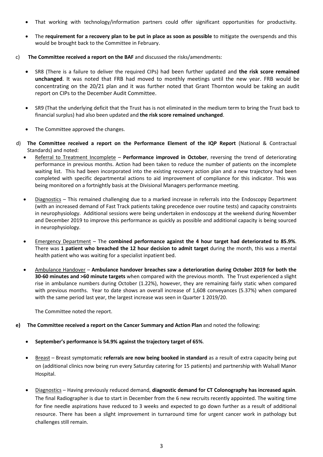- That working with technology/information partners could offer significant opportunities for productivity.
- The **requirement for a recovery plan to be put in place as soon as possible** to mitigate the overspends and this would be brought back to the Committee in February.
- c) **The Committee received a report on the BAF** and discussed the risks/amendments:
	- SR8 (There is a failure to deliver the required CIPs) had been further updated and **the risk score remained unchanged**. It was noted that FRB had moved to monthly meetings until the new year. FRB would be concentrating on the 20/21 plan and it was further noted that Grant Thornton would be taking an audit report on CIPs to the December Audit Committee.
	- SR9 (That the underlying deficit that the Trust has is not eliminated in the medium term to bring the Trust back to financial surplus) had also been updated and **the risk score remained unchanged**.
	- The Committee approved the changes.
- d) **The Committee received a report on the Performance Element of the IQP Report** (National & Contractual Standards) and noted:
	- Referral to Treatment Incomplete **Performance improved in October**, reversing the trend of deteriorating performance in previous months. Action had been taken to reduce the number of patients on the incomplete waiting list. This had been incorporated into the existing recovery action plan and a new trajectory had been completed with specific departmental actions to aid improvement of compliance for this indicator. This was being monitored on a fortnightly basis at the Divisional Managers performance meeting.
	- Diagnostics This remained challenging due to a marked increase in referrals into the Endoscopy Department (with an increased demand of Fast Track patients taking precedence over routine tests) and capacity constraints in neurophysiology. Additional sessions were being undertaken in endoscopy at the weekend during November and December 2019 to improve this performance as quickly as possible and additional capacity is being sourced in neurophysiology.
	- Emergency Department The **combined performance against the 4 hour target had deteriorated to 85.9%**. There was **1 patient who breached the 12 hour decision to admit target** during the month, this was a mental health patient who was waiting for a specialist inpatient bed.
	- Ambulance Handover **Ambulance handover breaches saw a deterioration during October 2019 for both the 30-60 minutes and >60 minute targets** when compared with the previous month. The Trust experienced a slight rise in ambulance numbers during October (1.22%), however, they are remaining fairly static when compared with previous months. Year to date shows an overall increase of 1,608 conveyances (5.37%) when compared with the same period last year, the largest increase was seen in Quarter 1 2019/20.

The Committee noted the report.

- **e) The Committee received a report on the Cancer Summary and Action Plan** and noted the following:
	- **September's performance is 54.9% against the trajectory target of 65%**.
	- Breast Breast symptomatic **referrals are now being booked in standard** as a result of extra capacity being put on (additional clinics now being run every Saturday catering for 15 patients) and partnership with Walsall Manor Hospital.
	- Diagnostics Having previously reduced demand, **diagnostic demand for CT Colonography has increased again**. The final Radiographer is due to start in December from the 6 new recruits recently appointed. The waiting time for fine needle aspirations have reduced to 3 weeks and expected to go down further as a result of additional resource. There has been a slight improvement in turnaround time for urgent cancer work in pathology but challenges still remain.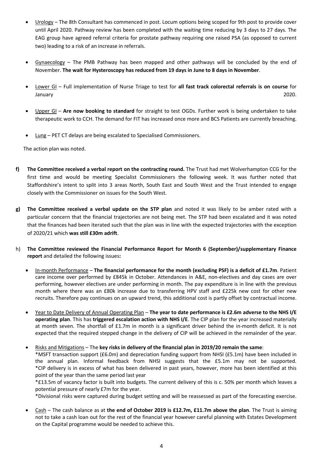- Urology The 8th Consultant has commenced in post. Locum options being scoped for 9th post to provide cover until April 2020. Pathway review has been completed with the waiting time reducing by 3 days to 27 days. The EAG group have agreed referral criteria for prostate pathway requiring one raised PSA (as opposed to current two) leading to a risk of an increase in referrals.
- Gynaecology The PMB Pathway has been mapped and other pathways will be concluded by the end of November. **The wait for Hysteroscopy has reduced from 19 days in June to 8 days in November**.
- Lower GI Full implementation of Nurse Triage to test for **all fast track colorectal referrals is on course** for January 2020.
- Upper GI **Are now booking to standard** for straight to test OGDs. Further work is being undertaken to take therapeutic work to CCH. The demand for FIT has increased once more and BCS Patients are currently breaching.
- Lung PET CT delays are being escalated to Specialised Commissioners.

The action plan was noted.

- **f) The Committee received a verbal report on the contracting round.** The Trust had met Wolverhampton CCG for the first time and would be meeting Specialist Commissioners the following week. It was further noted that Staffordshire's intent to split into 3 areas North, South East and South West and the Trust intended to engage closely with the Commissioner on issues for the South West.
- **g) The Committee received a verbal update on the STP plan** and noted it was likely to be amber rated with a particular concern that the financial trajectories are not being met. The STP had been escalated and it was noted that the finances had been iterated such that the plan was in line with the expected trajectories with the exception of 2020/21 which **was still £30m adrift**.
- h) **The Committee reviewed the Financial Performance Report for Month 6 (September)/supplementary Finance report** and detailed the following issues**:**
	- In-month Performance **The financial performance for the month (excluding PSF) is a deficit of £1.7m**. Patient care income over performed by £845k in October. Attendances in A&E, non-electives and day cases are over performing, however electives are under performing in month. The pay expenditure is in line with the previous month where there was an £80k increase due to transferring HPV staff and £225k new cost for other new recruits. Therefore pay continues on an upward trend, this additional cost is partly offset by contractual income.
	- Year to Date Delivery of Annual Operating Plan **The year to date performance is £2.6m adverse to the NHS I/E operating plan**. This has **triggered escalation action with NHS I/E**. The CIP plan for the year increased materially at month seven. The shortfall of £1.7m in month is a significant driver behind the in-month deficit. It is not expected that the required stepped change in the delivery of CIP will be achieved in the remainder of the year.

• Risks and Mitigations – The **key risks in delivery of the financial plan in 2019/20 remain the same**: \*MSFT transaction support (£6.0m) and depreciation funding support from NHSI (£5.1m) have been included in the annual plan. Informal feedback from NHSI suggests that the £5.1m may not be supported. \*CIP delivery is in excess of what has been delivered in past years, however, more has been identified at this point of the year than the same period last year

\*£13.5m of vacancy factor is built into budgets. The current delivery of this is c. 50% per month which leaves a potential pressure of nearly £7m for the year.

\*Divisional risks were captured during budget setting and will be reassessed as part of the forecasting exercise.

• Cash – The cash balance as at **the end of October 2019 is £12.7m, £11.7m above the plan**. The Trust is aiming not to take a cash loan out for the rest of the financial year however careful planning with Estates Development on the Capital programme would be needed to achieve this.